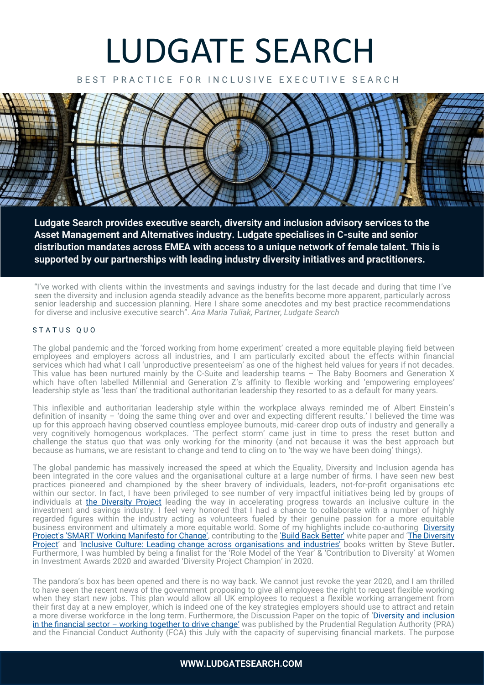# LUDGATE SEARCH

BEST PRACTICE FOR INCLUSIVE EXECUTIVE SEARCH



**Ludgate Search provides executive search, diversity and inclusion advisory services to the Asset Management and Alternatives industry. Ludgate specialises in C-suite and senior distribution mandates across EMEA with access to a unique network of female talent. This is supported by our partnerships with leading industry diversity initiatives and practitioners.**

"I've worked with clients within the investments and savings industry for the last decade and during that time I've seen the diversity and inclusion agenda steadily advance as the benefits become more apparent, particularly across senior leadership and succession planning. Here I share some anecdotes and my best practice recommendations for diverse and inclusive executive search". *Ana Maria Tuliak, Partner, Ludgate Search* 

#### STATUS QUO

The global pandemic and the 'forced working from home experiment' created a more equitable playing field between employees and employers across all industries, and I am particularly excited about the effects within financial services which had what I call 'unproductive presenteeism' as one of the highest held values for years if not decades. This value has been nurtured mainly by the C-Suite and leadership teams - The Baby Boomers and Generation X which have often labelled Millennial and Generation Z's affinity to flexible working and 'empowering employees' leadership style as 'less than' the traditional authoritarian leadership they resorted to as a default for many years.

This inflexible and authoritarian leadership style within the workplace always reminded me of Albert Einstein's definition of insanity – 'doing the same thing over and over and expecting different results.' I believed the time was up for this approach having observed countless employee burnouts, mid-career drop outs of industry and generally a very cognitively homogenous workplaces. 'The perfect storm' came just in time to press the reset button and challenge the status quo that was only working for the minority (and not because it was the best approach but because as humans, we are resistant to change and tend to cling on to 'the way we have been doing' things).

The global pandemic has massively increased the speed at which the Equality, Diversity and Inclusion agenda has been integrated in the core values and the organisational culture at a large number of firms. I have seen new best practices pioneered and championed by the sheer bravery of individuals, leaders, not-for-profit organisations etc within our sector. In fact, I have been privileged to see number of very impactful initiatives being led by groups of individuals at [the Diversity Project](https://diversityproject.com/) leading the way in accelerating progress towards an inclusive culture in the investment and savings industry. I feel very honored that I had a chance to collaborate with a number of highly regarded figures within the industry acting as volunteers fueled by their genuine passion for a more equitable business environment and ultimately a more equitable world. Some of my highlights include co-authoring [Diversity](https://diversityproject.com/resource/smart-working-manifesto-change-investment-and-saving-industry)  [Project's 'SMART Working Manifesto for Change',](https://diversityproject.com/resource/smart-working-manifesto-change-investment-and-saving-industry) contributing to the ['Build Back Better'](https://diversityproject.com/resource/build-back-better) white paper and 'The Diversity [Project](https://www.amazon.co.uk/Diversity-Project-Accelerating-inclusive-investment/dp/1914078918/)' [an](https://diversityproject.com/2021-06-20/steve-butler-launch-diversity-project-book)d '[Inclusive Culture: Leading change across organisations and industries'](https://www.amazon.co.uk/dp/B09CQYFJ7S/) books written by Steve Butler. Furthermore, I was humbled by being a finalist for the 'Role Model of the Year' & 'Contribution to Diversity' at Women in Investment Awards 2020 and awarded 'Diversity Project Champion' in 2020.

The pandora's box has been opened and there is no way back. We cannot just revoke the year 2020, and I am thrilled to have seen the recent news of the government proposing to give all employees the right to request flexible working when they start new jobs. This plan would allow all UK employees to request a flexible working arrangement from their first day at a new employer, which is indeed one of the key strategies employers should use to attract and retain a more diverse workforce in the long term. Furthermore, the Discussion Paper on the topic of 'Diversity and inclusion in the financial sector – [working together to drive change](https://www.fca.org.uk/publications/discussion-papers/dp-21-2-diversity-and-inclusion-financial-sector-working-together-drive-change)['](https://www.fca.org.uk/publications/discussion-papers/dp-21-2-diversity-and-inclusion-financial-sector-working-together-drive-change) was published by the Prudential Regulation Authority (PRA) and the Financial Conduct Authority (FCA) this July with the capacity of supervising financial markets. The purpose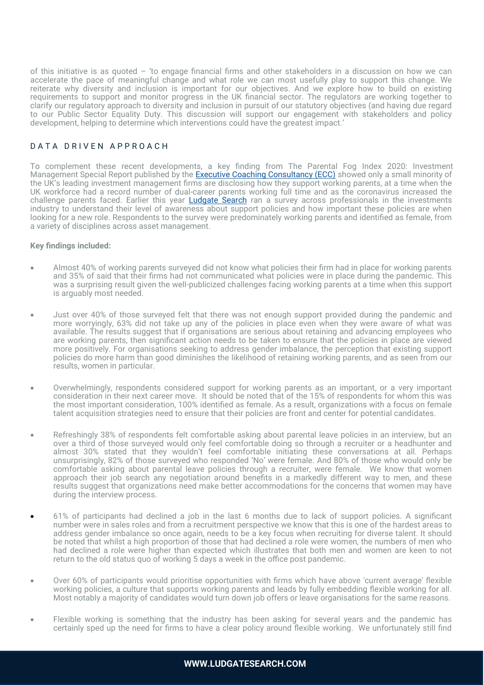of this initiative is as quoted – 'to engage financial firms and other stakeholders in a discussion on how we can accelerate the pace of meaningful change and what role we can most usefully play to support this change. We reiterate why diversity and inclusion is important for our objectives. And we explore how to build on existing requirements to support and monitor progress in the UK financial sector. The regulators are working together to clarify our regulatory approach to diversity and inclusion in pursuit of our statutory objectives (and having due regard to our Public Sector Equality Duty. This discussion will support our engagement with stakeholders and policy development, helping to determine which interventions could have the greatest impact.'

# DATA DRIVEN APPROACH

To complement these recent developments, a key finding from The Parental Fog Index 2020: Investment Management Special Report published by the [Executive Coaching Consultancy \(ECC\)](https://executive-coaching.co.uk/) showed only a small minority of the UK's leading investment management firms are disclosing how they support working parents, at a time when the UK workforce had a record number of dual-career parents working full time and as the coronavirus increased the challenge parents faced. Earlier this year **[Ludgate Search](https://www.ludgatesearch.com/)** ran a survey across professionals in the investments industry to understand their level of awareness about support policies and how important these policies are when looking for a new role. Respondents to the survey were predominately working parents and identified as female, from a variety of disciplines across asset management.

#### **Key findings included:**

- Almost 40% of working parents surveyed did not know what policies their firm had in place for working parents and 35% of said that their firms had not communicated what policies were in place during the pandemic. This was a surprising result given the well-publicized challenges facing working parents at a time when this support is arguably most needed.
- Just over 40% of those surveyed felt that there was not enough support provided during the pandemic and more worryingly, 63% did not take up any of the policies in place even when they were aware of what was available. The results suggest that if organisations are serious about retaining and advancing employees who are working parents, then significant action needs to be taken to ensure that the policies in place are viewed more positively. For organisations seeking to address gender imbalance, the perception that existing support policies do more harm than good diminishes the likelihood of retaining working parents, and as seen from our results, women in particular.
- Overwhelmingly, respondents considered support for working parents as an important, or a very important consideration in their next career move. It should be noted that of the 15% of respondents for whom this was the most important consideration, 100% identified as female. As a result, organizations with a focus on female talent acquisition strategies need to ensure that their policies are front and center for potential candidates.
- Refreshingly 38% of respondents felt comfortable asking about parental leave policies in an interview, but an over a third of those surveyed would only feel comfortable doing so through a recruiter or a headhunter and almost 30% stated that they wouldn't feel comfortable initiating these conversations at all. Perhaps unsurprisingly, 82% of those surveyed who responded 'No' were female. And 80% of those who would only be comfortable asking about parental leave policies through a recruiter, were female. We know that women approach their job search any negotiation around benefits in a markedly different way to men, and these results suggest that organizations need make better accommodations for the concerns that women may have during the interview process.
- 61% of participants had declined a job in the last 6 months due to lack of support policies. A significant number were in sales roles and from a recruitment perspective we know that this is one of the hardest areas to address gender imbalance so once again, needs to be a key focus when recruiting for diverse talent. It should be noted that whilst a high proportion of those that had declined a role were women, the numbers of men who had declined a role were higher than expected which illustrates that both men and women are keen to not return to the old status quo of working 5 days a week in the office post pandemic.
- Over 60% of participants would prioritise opportunities with firms which have above 'current average' flexible working policies, a culture that supports working parents and leads by fully embedding flexible working for all. Most notably a majority of candidates would turn down job offers or leave organisations for the same reasons.
- Flexible working is something that the industry has been asking for several years and the pandemic has certainly sped up the need for firms to have a clear policy around flexible working. We unfortunately still find

## **WWW.LUDGATESEARCH.COM**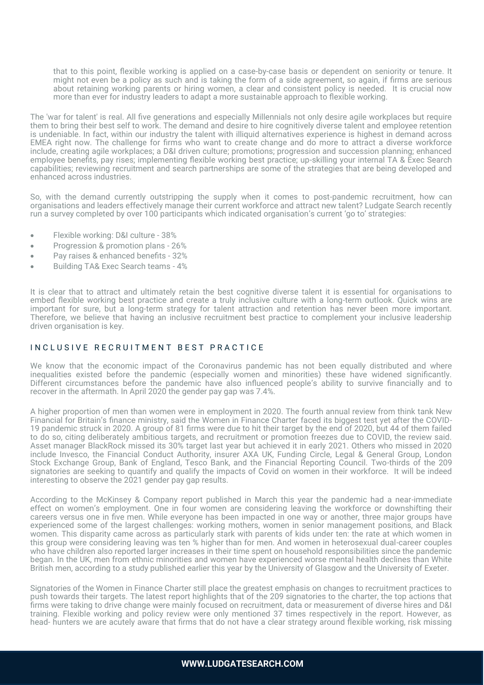that to this point, flexible working is applied on a case-by-case basis or dependent on seniority or tenure. It might not even be a policy as such and is taking the form of a side agreement, so again, if firms are serious about retaining working parents or hiring women, a clear and consistent policy is needed. It is crucial now more than ever for industry leaders to adapt a more sustainable approach to flexible working.

The 'war for talent' is real. All five generations and especially Millennials not only desire agile workplaces but require them to bring their best self to work. The demand and desire to hire cognitively diverse talent and employee retention is undeniable. In fact, within our industry the talent with illiquid alternatives experience is highest in demand across EMEA right now. The challenge for firms who want to create change and do more to attract a diverse workforce include, creating agile workplaces; a D&I driven culture; promotions; progression and succession planning; enhanced employee benefits, pay rises; implementing flexible working best practice; up-skilling your internal TA & Exec Search capabilities; reviewing recruitment and search partnerships are some of the strategies that are being developed and enhanced across industries.

So, with the demand currently outstripping the supply when it comes to post-pandemic recruitment, how can organisations and leaders effectively manage their current workforce and attract new talent? Ludgate Search recently run a survey completed by over 100 participants which indicated organisation's current 'go to' strategies:

- Flexible working: D&I culture 38%
- Progression & promotion plans 26%
- Pay raises & enhanced benefits 32%
- Building TA& Exec Search teams 4%

It is clear that to attract and ultimately retain the best cognitive diverse talent it is essential for organisations to embed flexible working best practice and create a truly inclusive culture with a long-term outlook. Quick wins are important for sure, but a long-term strategy for talent attraction and retention has never been more important. Therefore, we believe that having an inclusive recruitment best practice to complement your inclusive leadership driven organisation is key.

## IN CLUSIVE RECRUITMENT BEST PRACTICE

We know that the economic impact of the Coronavirus pandemic has not been equally distributed and where inequalities existed before the pandemic (especially women and minorities) these have widened significantly. Different circumstances before the pandemic have also influenced people's ability to survive financially and to recover in the aftermath. In April 2020 the gender pay gap was 7.4%.

A higher proportion of men than women were in employment in 2020. The fourth annual review from think tank New Financial for Britain's finance ministry, said the Women in Finance Charter faced its biggest test yet after the COVID-19 pandemic struck in 2020. A group of 81 firms were due to hit their target by the end of 2020, but 44 of them failed to do so, citing deliberately ambitious targets, and recruitment or promotion freezes due to COVID, the review said. Asset manager BlackRock missed its 30% target last year but achieved it in early 2021. Others who missed in 2020 include Invesco, the Financial Conduct Authority, insurer AXA UK, Funding Circle, Legal & General Group, London Stock Exchange Group, Bank of England, Tesco Bank, and the Financial Reporting Council. Two-thirds of the 209 signatories are seeking to quantify and qualify the impacts of Covid on women in their workforce. It will be indeed interesting to observe the 2021 gender pay gap results.

According to the McKinsey & Company report published in March this year the pandemic had a near-immediate effect on women's employment. One in four women are considering leaving the workforce or downshifting their careers versus one in five men. While everyone has been impacted in one way or another, three major groups have experienced some of the largest challenges: working mothers, women in senior management positions, and Black women. This disparity came across as particularly stark with parents of kids under ten: the rate at which women in this group were considering leaving was ten % higher than for men. And women in heterosexual dual-career couples who have children also reported larger increases in their time spent on household responsibilities since the pandemic began. In the UK, men from ethnic minorities and women have experienced worse mental health declines than White British men, according to a study published earlier this year by the University of Glasgow and the University of Exeter.

Signatories of the Women in Finance Charter still place the greatest emphasis on changes to recruitment practices to push towards their targets. The latest report highlights that of the 209 signatories to the charter, the top actions that firms were taking to drive change were mainly focused on recruitment, data or measurement of diverse hires and D&I training. Flexible working and policy review were only mentioned 37 times respectively in the report. However, as head- hunters we are acutely aware that firms that do not have a clear strategy around flexible working, risk missing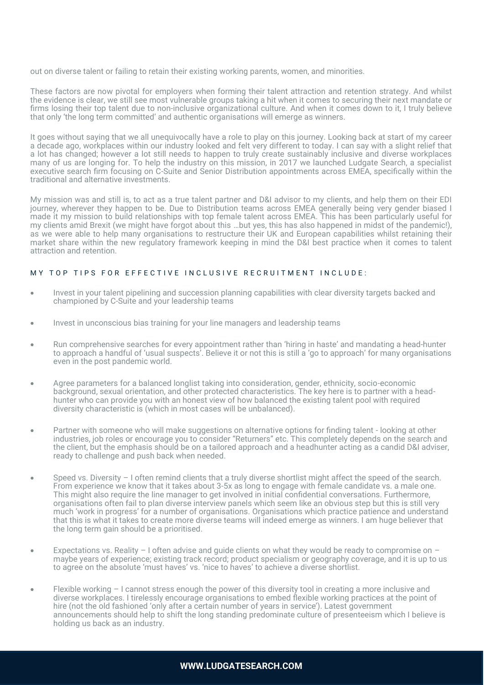out on diverse talent or failing to retain their existing working parents, women, and minorities.

These factors are now pivotal for employers when forming their talent attraction and retention strategy. And whilst the evidence is clear, we still see most vulnerable groups taking a hit when it comes to securing their next mandate or firms losing their top talent due to non-inclusive organizational culture. And when it comes down to it, I truly believe that only 'the long term committed' and authentic organisations will emerge as winners.

It goes without saying that we all unequivocally have a role to play on this journey. Looking back at start of my career a decade ago, workplaces within our industry looked and felt very different to today. I can say with a slight relief that a lot has changed; however a lot still needs to happen to truly create sustainably inclusive and diverse workplaces many of us are longing for. To help the industry on this mission, in 2017 we launched Ludgate Search, a specialist executive search firm focusing on C-Suite and Senior Distribution appointments across EMEA, specifically within the traditional and alternative investments.

My mission was and still is, to act as a true talent partner and D&I advisor to my clients, and help them on their EDI journey, wherever they happen to be. Due to Distribution teams across EMEA generally being very gender biased I made it my mission to build relationships with top female talent across EMEA. This has been particularly useful for my clients amid Brexit (we might have forgot about this …but yes, this has also happened in midst of the pandemic!), as we were able to help many organisations to restructure their UK and European capabilities whilst retaining their market share within the new regulatory framework keeping in mind the D&I best practice when it comes to talent attraction and retention.

# MY TOP TIPS FOR EFFECTIVE INCLUSIVE RECRUITMENT INCLUDE:

- Invest in your talent pipelining and succession planning capabilities with clear diversity targets backed and championed by C-Suite and your leadership teams
- Invest in unconscious bias training for your line managers and leadership teams
- Run comprehensive searches for every appointment rather than 'hiring in haste' and mandating a head-hunter to approach a handful of 'usual suspects'. Believe it or not this is still a 'go to approach' for many organisations even in the post pandemic world.
- Agree parameters for a balanced longlist taking into consideration, gender, ethnicity, socio-economic background, sexual orientation, and other protected characteristics. The key here is to partner with a headhunter who can provide you with an honest view of how balanced the existing talent pool with required diversity characteristic is (which in most cases will be unbalanced).
- Partner with someone who will make suggestions on alternative options for finding talent looking at other industries, job roles or encourage you to consider "Returners" etc. This completely depends on the search and the client, but the emphasis should be on a tailored approach and a headhunter acting as a candid D&I adviser, ready to challenge and push back when needed.
- Speed vs. Diversity I often remind clients that a truly diverse shortlist might affect the speed of the search. From experience we know that it takes about 3-5x as long to engage with female candidate vs. a male one. This might also require the line manager to get involved in initial confidential conversations. Furthermore, organisations often fail to plan diverse interview panels which seem like an obvious step but this is still very much 'work in progress' for a number of organisations. Organisations which practice patience and understand that this is what it takes to create more diverse teams will indeed emerge as winners. I am huge believer that the long term gain should be a prioritised.
- Expectations vs. Reality I often advise and quide clients on what they would be ready to compromise on  $$ maybe years of experience; existing track record; product specialism or geography coverage, and it is up to us to agree on the absolute 'must haves' vs. 'nice to haves' to achieve a diverse shortlist.
- Flexible working I cannot stress enough the power of this diversity tool in creating a more inclusive and diverse workplaces. I tirelessly encourage organisations to embed flexible working practices at the point of hire (not the old fashioned 'only after a certain number of years in service'). Latest government announcements should help to shift the long standing predominate culture of presenteeism which I believe is holding us back as an industry.

## **WWW.LUDGATESEARCH.COM**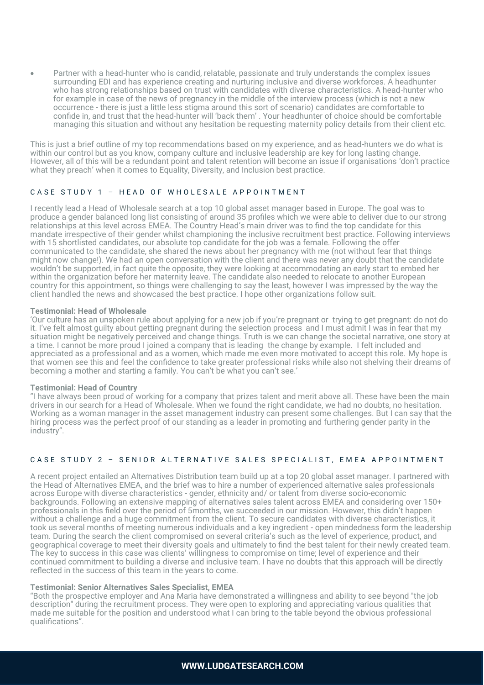• Partner with a head-hunter who is candid, relatable, passionate and truly understands the complex issues surrounding EDI and has experience creating and nurturing inclusive and diverse workforces. A headhunter who has strong relationships based on trust with candidates with diverse characteristics. A head-hunter who for example in case of the news of pregnancy in the middle of the interview process (which is not a new occurrence - there is just a little less stigma around this sort of scenario) candidates are comfortable to confide in, and trust that the head-hunter will 'back them' . Your headhunter of choice should be comfortable managing this situation and without any hesitation be requesting maternity policy details from their client etc.

This is just a brief outline of my top recommendations based on my experience, and as head-hunters we do what is within our control but as you know, company culture and inclusive leadership are key for long lasting change. However, all of this will be a redundant point and talent retention will become an issue if organisations 'don't practice what they preach' when it comes to Equality, Diversity, and Inclusion best practice.

#### CASE STUDY 1 - HEAD OF WHOLESALE APPOINTMENT

I recently lead a Head of Wholesale search at a top 10 global asset manager based in Europe. The goal was to produce a gender balanced long list consisting of around 35 profiles which we were able to deliver due to our strong relationships at this level across EMEA. The Country Head's main driver was to find the top candidate for this mandate irrespective of their gender whilst championing the inclusive recruitment best practice. Following interviews with 15 shortlisted candidates, our absolute top candidate for the job was a female. Following the offer communicated to the candidate, she shared the news about her pregnancy with me (not without fear that things might now change!). We had an open conversation with the client and there was never any doubt that the candidate wouldn't be supported, in fact quite the opposite, they were looking at accommodating an early start to embed her within the organization before her maternity leave. The candidate also needed to relocate to another European country for this appointment, so things were challenging to say the least, however I was impressed by the way the client handled the news and showcased the best practice. I hope other organizations follow suit.

#### **Testimonial: Head of Wholesale**

'Our culture has an unspoken rule about applying for a new job if you're pregnant or trying to get pregnant: do not do it. I've felt almost guilty about getting pregnant during the selection process and I must admit I was in fear that my situation might be negatively perceived and change things. Truth is we can change the societal narrative, one story at a time. I cannot be more proud I joined a company that is leading the change by example. I felt included and appreciated as a professional and as a women, which made me even more motivated to accept this role. My hope is that women see this and feel the confidence to take greater professional risks while also not shelving their dreams of becoming a mother and starting a family. You can't be what you can't see.'

#### **Testimonial: Head of Country**

"I have always been proud of working for a company that prizes talent and merit above all. These have been the main drivers in our search for a Head of Wholesale. When we found the right candidate, we had no doubts, no hesitation. Working as a woman manager in the asset management industry can present some challenges. But I can say that the hiring process was the perfect proof of our standing as a leader in promoting and furthering gender parity in the industry".

#### CA SE STUDY 2 - SENIOR ALTERNATIVE SALES SPECIALIST, EMEA APPOINTMENT

A recent project entailed an Alternatives Distribution team build up at a top 20 global asset manager. I partnered with the Head of Alternatives EMEA, and the brief was to hire a number of experienced alternative sales professionals across Europe with diverse characteristics - gender, ethnicity and/ or talent from diverse socio-economic backgrounds. Following an extensive mapping of alternatives sales talent across EMEA and considering over 150+ professionals in this field over the period of 5months, we succeeded in our mission. However, this didn't happen without a challenge and a huge commitment from the client. To secure candidates with diverse characteristics, it took us several months of meeting numerous individuals and a key ingredient - open mindedness form the leadership team. During the search the client compromised on several criteria's such as the level of experience, product, and geographical coverage to meet their diversity goals and ultimately to find the best talent for their newly created team. The key to success in this case was clients' willingness to compromise on time; level of experience and their continued commitment to building a diverse and inclusive team. I have no doubts that this approach will be directly reflected in the success of this team in the years to come.

#### **Testimonial: Senior Alternatives Sales Specialist, EMEA**

"Both the prospective employer and Ana Maria have demonstrated a willingness and ability to see beyond "the job description" during the recruitment process. They were open to exploring and appreciating various qualities that made me suitable for the position and understood what I can bring to the table beyond the obvious professional qualifications".